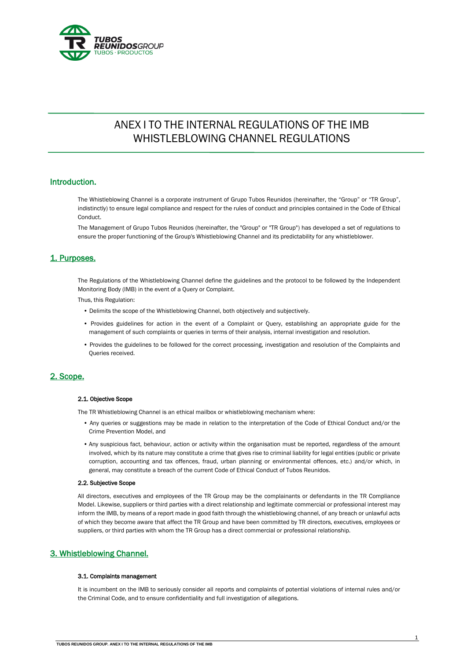

# ANEX I TO THE INTERNAL REGULATIONS OF THE IMB WHISTLEBLOWING CHANNEL REGULATIONS

## Introduction.

The Whistleblowing Channel is a corporate instrument of Grupo Tubos Reunidos (hereinafter, the "Group" or "TR Group", indistinctly) to ensure legal compliance and respect for the rules of conduct and principles contained in the Code of Ethical Conduct.

The Management of Grupo Tubos Reunidos (hereinafter, the "Group" or "TR Group") has developed a set of regulations to ensure the proper functioning of the Group's Whistleblowing Channel and its predictability for any whistleblower.

## 1. Purposes.

The Regulations of the Whistleblowing Channel define the guidelines and the protocol to be followed by the Independent Monitoring Body (IMB) in the event of a Query or Complaint.

Thus, this Regulation:

- Delimits the scope of the Whistleblowing Channel, both objectively and subjectively.
- Provides guidelines for action in the event of a Complaint or Query, establishing an appropriate guide for the management of such complaints or queries in terms of their analysis, internal investigation and resolution.
- Provides the guidelines to be followed for the correct processing, investigation and resolution of the Complaints and Queries received.

# 2. Scope.

## 2.1. Objective Scope

The TR Whistleblowing Channel is an ethical mailbox or whistleblowing mechanism where:

- Any queries or suggestions may be made in relation to the interpretation of the Code of Ethical Conduct and/or the Crime Prevention Model, and
- Any suspicious fact, behaviour, action or activity within the organisation must be reported, regardless of the amount involved, which by its nature may constitute a crime that gives rise to criminal liability for legal entities (public or private corruption, accounting and tax offences, fraud, urban planning or environmental offences, etc.) and/or which, in general, may constitute a breach of the current Code of Ethical Conduct of Tubos Reunidos.

## 2.2. Subjective Scope

All directors, executives and employees of the TR Group may be the complainants or defendants in the TR Compliance Model. Likewise, suppliers or third parties with a direct relationship and legitimate commercial or professional interest may inform the IMB, by means of a report made in good faith through the whistleblowing channel, of any breach or unlawful acts of which they become aware that affect the TR Group and have been committed by TR directors, executives, employees or suppliers, or third parties with whom the TR Group has a direct commercial or professional relationship.

# 3. Whistleblowing Channel.

#### 3.1. Complaints management

It is incumbent on the IMB to seriously consider all reports and complaints of potential violations of internal rules and/or the Criminal Code, and to ensure confidentiality and full investigation of allegations.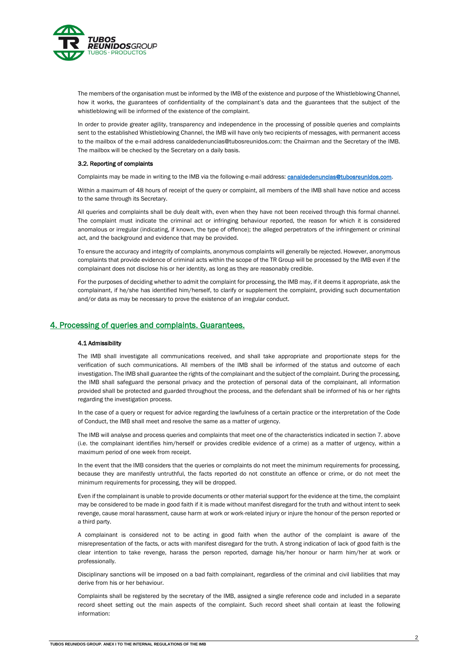

The members of the organisation must be informed by the IMB of the existence and purpose of the Whistleblowing Channel, how it works, the guarantees of confidentiality of the complainant's data and the guarantees that the subject of the whistleblowing will be informed of the existence of the complaint.

In order to provide greater agility, transparency and independence in the processing of possible queries and complaints sent to the established Whistleblowing Channel, the IMB will have only two recipients of messages, with permanent access to the mailbox of the e-mail address canaldedenuncias@tubosreunidos.com: the Chairman and the Secretary of the IMB. The mailbox will be checked by the Secretary on a daily basis.

## 3.2. Reporting of complaints

Complaints may be made in writing to the IMB via the following e-mail address: **canaldedenuncias@tubosreunidos.com**.

Within a maximum of 48 hours of receipt of the query or complaint, all members of the IMB shall have notice and access to the same through its Secretary.

All queries and complaints shall be duly dealt with, even when they have not been received through this formal channel. The complaint must indicate the criminal act or infringing behaviour reported, the reason for which it is considered anomalous or irregular (indicating, if known, the type of offence); the alleged perpetrators of the infringement or criminal act, and the background and evidence that may be provided.

To ensure the accuracy and integrity of complaints, anonymous complaints will generally be rejected. However, anonymous complaints that provide evidence of criminal acts within the scope of the TR Group will be processed by the IMB even if the complainant does not disclose his or her identity, as long as they are reasonably credible.

For the purposes of deciding whether to admit the complaint for processing, the IMB may, if it deems it appropriate, ask the complainant, if he/she has identified him/herself, to clarify or supplement the complaint, providing such documentation and/or data as may be necessary to prove the existence of an irregular conduct.

## 4. Processing of queries and complaints. Guarantees.

## 4.1 Admissibility

The IMB shall investigate all communications received, and shall take appropriate and proportionate steps for the verification of such communications. All members of the IMB shall be informed of the status and outcome of each investigation. The IMB shall guarantee the rights of the complainant and the subject of the complaint. During the processing, the IMB shall safeguard the personal privacy and the protection of personal data of the complainant, all information provided shall be protected and guarded throughout the process, and the defendant shall be informed of his or her rights regarding the investigation process.

In the case of a query or request for advice regarding the lawfulness of a certain practice or the interpretation of the Code of Conduct, the IMB shall meet and resolve the same as a matter of urgency.

The IMB will analyse and process queries and complaints that meet one of the characteristics indicated in section 7. above (i.e. the complainant identifies him/herself or provides credible evidence of a crime) as a matter of urgency, within a maximum period of one week from receipt.

In the event that the IMB considers that the queries or complaints do not meet the minimum requirements for processing, because they are manifestly untruthful, the facts reported do not constitute an offence or crime, or do not meet the minimum requirements for processing, they will be dropped.

Even if the complainant is unable to provide documents or other material support for the evidence at the time, the complaint may be considered to be made in good faith if it is made without manifest disregard for the truth and without intent to seek revenge, cause moral harassment, cause harm at work or work-related injury or injure the honour of the person reported or a third party.

A complainant is considered not to be acting in good faith when the author of the complaint is aware of the misrepresentation of the facts, or acts with manifest disregard for the truth. A strong indication of lack of good faith is the clear intention to take revenge, harass the person reported, damage his/her honour or harm him/her at work or professionally.

Disciplinary sanctions will be imposed on a bad faith complainant, regardless of the criminal and civil liabilities that may derive from his or her behaviour.

Complaints shall be registered by the secretary of the IMB, assigned a single reference code and included in a separate record sheet setting out the main aspects of the complaint. Such record sheet shall contain at least the following information: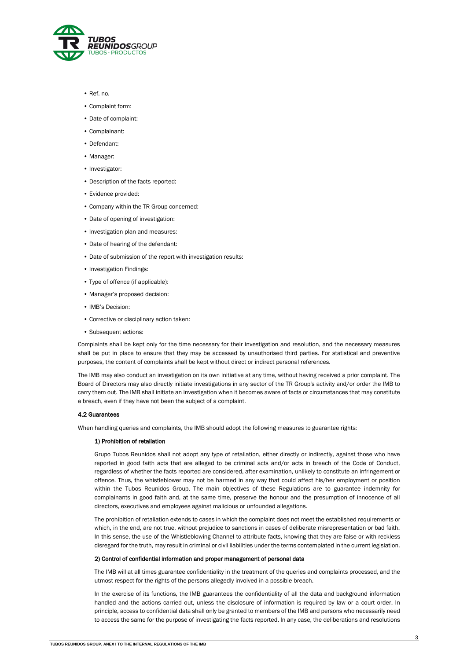

- Ref. no.
- Complaint form:
- Date of complaint:
- Complainant:
- Defendant:
- Manager:
- Investigator:
- Description of the facts reported:
- Evidence provided:
- Company within the TR Group concerned:
- Date of opening of investigation:
- Investigation plan and measures:
- Date of hearing of the defendant:
- Date of submission of the report with investigation results:
- Investigation Findings:
- Type of offence (if applicable):
- Manager's proposed decision:
- IMB's Decision:
- Corrective or disciplinary action taken:
- Subsequent actions:

Complaints shall be kept only for the time necessary for their investigation and resolution, and the necessary measures shall be put in place to ensure that they may be accessed by unauthorised third parties. For statistical and preventive purposes, the content of complaints shall be kept without direct or indirect personal references.

The IMB may also conduct an investigation on its own initiative at any time, without having received a prior complaint. The Board of Directors may also directly initiate investigations in any sector of the TR Group's activity and/or order the IMB to carry them out. The IMB shall initiate an investigation when it becomes aware of facts or circumstances that may constitute a breach, even if they have not been the subject of a complaint.

### 4.2 Guarantees

When handling queries and complaints, the IMB should adopt the following measures to guarantee rights:

## 1) Prohibition of retaliation

Grupo Tubos Reunidos shall not adopt any type of retaliation, either directly or indirectly, against those who have reported in good faith acts that are alleged to be criminal acts and/or acts in breach of the Code of Conduct, regardless of whether the facts reported are considered, after examination, unlikely to constitute an infringement or offence. Thus, the whistleblower may not be harmed in any way that could affect his/her employment or position within the Tubos Reunidos Group. The main objectives of these Regulations are to guarantee indemnity for complainants in good faith and, at the same time, preserve the honour and the presumption of innocence of all directors, executives and employees against malicious or unfounded allegations.

The prohibition of retaliation extends to cases in which the complaint does not meet the established requirements or which, in the end, are not true, without prejudice to sanctions in cases of deliberate misrepresentation or bad faith. In this sense, the use of the Whistleblowing Channel to attribute facts, knowing that they are false or with reckless disregard for the truth, may result in criminal or civil liabilities under the terms contemplated in the current legislation.

## 2) Control of confidential information and proper management of personal data

The IMB will at all times guarantee confidentiality in the treatment of the queries and complaints processed, and the utmost respect for the rights of the persons allegedly involved in a possible breach.

In the exercise of its functions, the IMB guarantees the confidentiality of all the data and background information handled and the actions carried out, unless the disclosure of information is required by law or a court order. In principle, access to confidential data shall only be granted to members of the IMB and persons who necessarily need to access the same for the purpose of investigating the facts reported. In any case, the deliberations and resolutions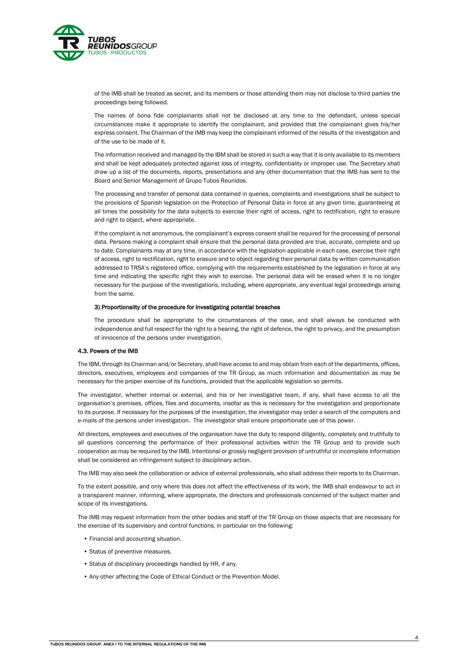

of the IMB shall be treated as secret, and its members or those attending them may not disclose to third parties the proceedings being followed.

The names of bona fide complainants shall not be disclosed at any time to the defendant, unless special circumstances make it appropriate to identify the complainant, and provided that the complainant gives his/her express consent. The Chairman of the IMB may keep the complainant informed of the results of the investigation and of the use to be made of it.

The information received and managed by the IBM shall be stored in such a way that it is only available to its members and shall be kept adequately protected against loss of integrity, confidentiality or improper use. The Secretary shall draw up a list of the documents, reports, presentations and any other documentation that the IMB has sent to the Board and Senior Management of Grupo Tubos Reunidos.

The processing and transfer of personal data contained in queries, complaints and investigations shall be subject to the provisions of Spanish legislation on the Protection of Personal Data in force at any given time, guaranteeing at all times the possibility for the data subjects to exercise their right of access, right to rectification, right to erasure and right to object, where appropriate.

If the complaint is not anonymous, the complainant's express consent shall be required for the processing of personal data. Persons making a complaint shall ensure that the personal data provided are true, accurate, complete and up to date. Complainants may at any time, in accordance with the legislation applicable in each case, exercise their right of access, right to rectification, right to erasure and to object regarding their personal data by written communication addressed to TRSA's registered office, complying with the requirements established by the legislation in force at any time and indicating the specific right they wish to exercise. The personal data will be erased when it is no longer necessary for the purpose of the investigations, including, where appropriate, any eventual legal proceedings arising from the same.

#### 3) Proportionality of the procedure for investigating potential breaches

The procedure shall be appropriate to the circumstances of the case, and shall always be conducted with independence and full respect for the right to a hearing, the right of defence, the right to privacy, and the presumption of innocence of the persons under investigation.

#### 4.3. Powers of the IMB

The IBM, through its Chairman and/or Secretary, shall have access to and may obtain from each of the departments, offices, directors, executives, employees and companies of the TR Group, as much information and documentation as may be necessary for the proper exercise of its functions, provided that the applicable legislation so permits.

The investigator, whether internal or external, and his or her investigative team, if any, shall have access to all the organisation's premises, offices, files and documents, insofar as this is necessary for the investigation and proportionate to its purpose. If necessary for the purposes of the investigation, the investigator may order a search of the computers and e-mails of the persons under investigation. The investigator shall ensure proportionate use of this power.

All directors, employees and executives of the organisation have the duty to respond diligently, completely and truthfully to all questions concerning the performance of their professional activities within the TR Group and to provide such cooperation as may be required by the IMB. Intentional or grossly negligent provision of untruthful or incomplete information shall be considered an infringement subject to disciplinary action.

The IMB may also seek the collaboration or advice of external professionals, who shall address their reports to its Chairman.

To the extent possible, and only where this does not affect the effectiveness of its work, the IMB shall endeavour to act in a transparent manner, informing, where appropriate, the directors and professionals concerned of the subject matter and scope of its investigations.

The IMB may request information from the other bodies and staff of the TR Group on those aspects that are necessary for the exercise of its supervisory and control functions, in particular on the following:

- Financial and accounting situation.
- Status of preventive measures.
- Status of disciplinary proceedings handled by HR, if any.
- Any other affecting the Code of Ethical Conduct or the Prevention Model.